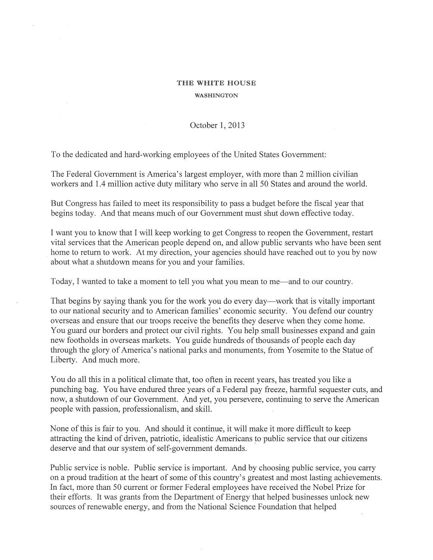## THE WHITE HOUSE WASHINGTON

October 1,2013

To the dedicated and hard-working employees of the United States Government:

 $\cdot$ 

The Federal Government is America's largest employer, with more than 2 million civilian workers and 1.4 million active duty military who serve in all 50 States and around the world.

But Congress has failed to meet its responsibility to pass a budget before the fiscal year that begins today. And that means much of our Government must shut down effective today.

I want you to know that I will keep working to get Congress to reopen the Government, restart vital services that the American people depend on, and allow public servants who have been sent home to return to work. At my direction, your agencies should have reached out to you by now about what a shutdown means for you and your families.

Today, I wanted to take a moment to tell you what you mean to me—and to our country.

That begins by saying thank you for the work you do every day—work that is vitally important to our national security and to American families' economic security. You defend our country overseas and ensure that our troops receive the benefits they deserve when they come home. You guard our borders and protect our civil rights. You help small businesses expand and gain new footholds in overseas markets. You guide hundreds of thousands of people each day through the glory of America's national parks and monuments, from Yosemite to the Statue of Liberty. And much more.

You do all this in a political climate that, too often in recent years, has treated you like a punching bag. You have endured three years of a Federal pay freeze, harmful sequester cuts, and now, a shutdown of our Government. And yet, you persevere, continuing to serve the American people with passion, professionalism, and skill.

None of this is fair to you. And should it continue, it will make it more difficult to keep attracting the kind of driven, patriotic, idealistic Americans to public service that our citizens deserve and that our system of self-government demands.

Public service is noble. Public service is important. And by choosing public service, you carry on a proud tradition at the heart of some of this country's greatest and most lasting achievements. In fact, more than 50 current or former Federal employees have received the Nobel Prize for their efforts. It was grants from the Department of Energy that helped businesses unlock new sources of renewable energy, and from the National Science Foundation that helped